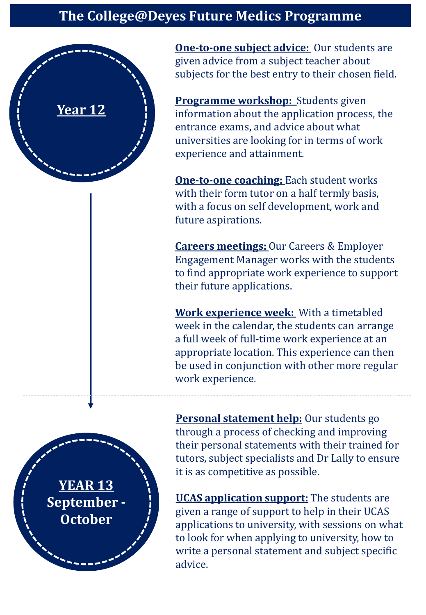## **The College@Deyes Future Medics Programme**



**One-to-one subject advice:** Our students are given advice from a subject teacher about subjects for the best entry to their chosen field.

**Programme workshop:** Students given information about the application process, the entrance exams, and advice about what universities are looking for in terms of work experience and attainment.

**One-to-one coaching:** Each student works with their form tutor on a half termly basis, with a focus on self development, work and future aspirations.

**Careers meetings:** Our Careers & Employer Engagement Manager works with the students to find appropriate work experience to support their future applications.

**Work experience week:** With a timetabled week in the calendar, the students can arrange a full week of full-time work experience at an appropriate location. This experience can then be used in conjunction with other more regular work experience.

**Personal statement help:** Our students go through a process of checking and improving their personal statements with their trained for tutors, subject specialists and Dr Lally to ensure it is as competitive as possible.

**UCAS application support:** The students are given a range of support to help in their UCAS applications to university, with sessions on what to look for when applying to university, how to write a personal statement and subject specific advice.